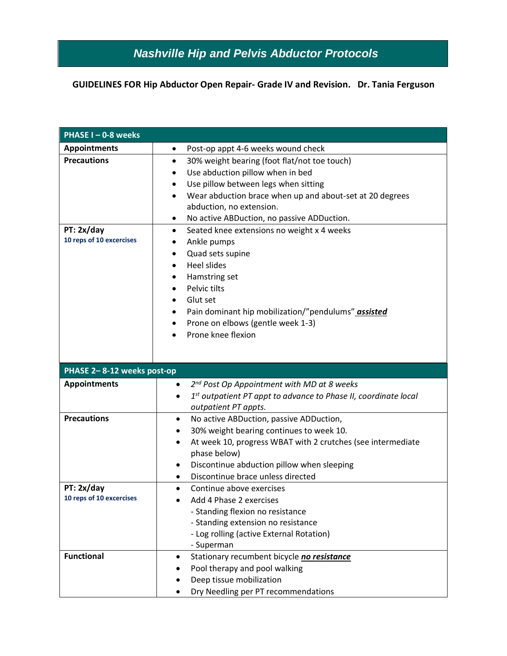## **GUIDELINES FOR Hip Abductor Open Repair- Grade IV and Revision. Dr. Tania Ferguson**

| PHASE I-0-8 weeks          |                                                                                |  |
|----------------------------|--------------------------------------------------------------------------------|--|
| <b>Appointments</b>        | Post-op appt 4-6 weeks wound check<br>$\bullet$                                |  |
| <b>Precautions</b>         | 30% weight bearing (foot flat/not toe touch)<br>$\bullet$                      |  |
|                            | Use abduction pillow when in bed                                               |  |
|                            | Use pillow between legs when sitting<br>٠                                      |  |
|                            | Wear abduction brace when up and about-set at 20 degrees<br>$\bullet$          |  |
|                            | abduction, no extension.                                                       |  |
|                            | No active ABDuction, no passive ADDuction.<br>٠                                |  |
| PT: 2x/day                 | Seated knee extensions no weight x 4 weeks<br>$\bullet$                        |  |
| 10 reps of 10 excercises   | Ankle pumps                                                                    |  |
|                            | Quad sets supine<br>٠                                                          |  |
|                            | <b>Heel slides</b><br>$\bullet$                                                |  |
|                            | Hamstring set<br>٠                                                             |  |
|                            | Pelvic tilts                                                                   |  |
|                            | Glut set<br>$\bullet$                                                          |  |
|                            | Pain dominant hip mobilization/"pendulums" assisted                            |  |
|                            | Prone on elbows (gentle week 1-3)                                              |  |
|                            | Prone knee flexion<br>$\bullet$                                                |  |
|                            |                                                                                |  |
|                            |                                                                                |  |
|                            |                                                                                |  |
| PHASE 2-8-12 weeks post-op |                                                                                |  |
| <b>Appointments</b>        | 2 <sup>nd</sup> Post Op Appointment with MD at 8 weeks<br>$\bullet$            |  |
|                            | $1st$ outpatient PT appt to advance to Phase II, coordinate local<br>$\bullet$ |  |
|                            | outpatient PT appts.                                                           |  |
| <b>Precautions</b>         | No active ABDuction, passive ADDuction,<br>$\bullet$                           |  |
|                            | 30% weight bearing continues to week 10.<br>٠                                  |  |
|                            | At week 10, progress WBAT with 2 crutches (see intermediate<br>٠               |  |
|                            | phase below)                                                                   |  |
|                            | Discontinue abduction pillow when sleeping                                     |  |
|                            | Discontinue brace unless directed<br>٠                                         |  |
| PT: 2x/day                 | Continue above exercises<br>$\bullet$                                          |  |
| 10 reps of 10 excercises   | Add 4 Phase 2 exercises                                                        |  |
|                            | - Standing flexion no resistance                                               |  |
|                            | - Standing extension no resistance                                             |  |
|                            | - Log rolling (active External Rotation)                                       |  |
|                            | - Superman                                                                     |  |
| <b>Functional</b>          | Stationary recumbent bicycle no resistance                                     |  |
|                            | Pool therapy and pool walking                                                  |  |
|                            | Deep tissue mobilization                                                       |  |